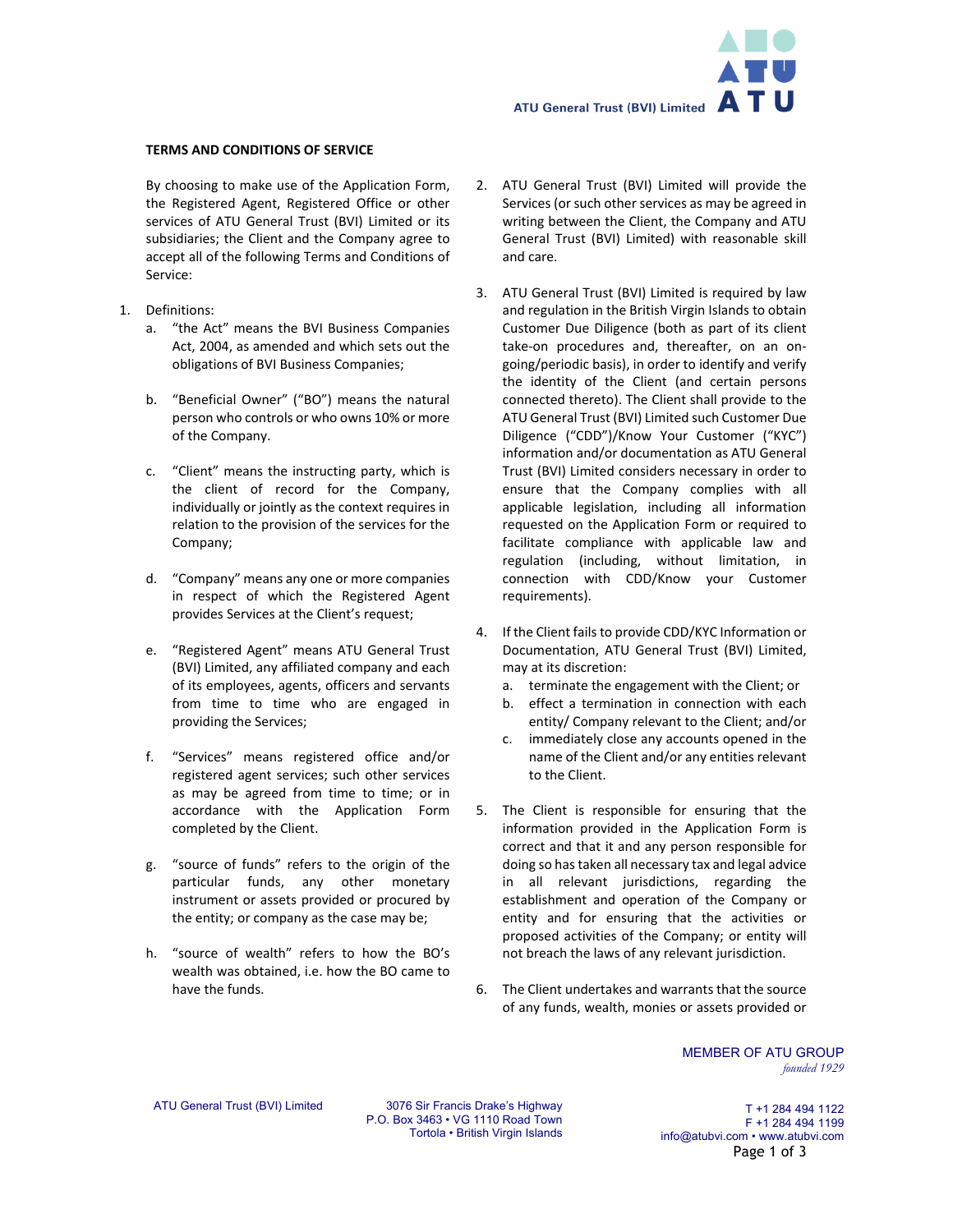ATU General Trust (BVI) Limited  $\overline{\mathbf{A}}$  T  $\mathbf U$ 

## **TERMS AND CONDITIONS OF SERVICE**

By choosing to make use of the Application Form, the Registered Agent, Registered Office or other services of ATU General Trust (BVI) Limited or its subsidiaries; the Client and the Company agree to accept all of the following Terms and Conditions of Service:

- 1. Definitions:
	- a. "the Act" means the BVI Business Companies Act, 2004, as amended and which sets out the obligations of BVI Business Companies;
	- b. "Beneficial Owner" ("BO") means the natural person who controls or who owns 10% or more of the Company.
	- c. "Client" means the instructing party, which is the client of record for the Company, individually or jointly as the context requires in relation to the provision of the services for the Company;
	- d. "Company" means any one or more companies in respect of which the Registered Agent provides Services at the Client's request;
	- e. "Registered Agent" means ATU General Trust (BVI) Limited, any affiliated company and each of its employees, agents, officers and servants from time to time who are engaged in providing the Services;
	- f. "Services" means registered office and/or registered agent services; such other services as may be agreed from time to time; or in accordance with the Application Form completed by the Client.
	- g. "source of funds" refers to the origin of the particular funds, any other monetary instrument or assets provided or procured by the entity; or company as the case may be;
	- h. "source of wealth" refers to how the BO's wealth was obtained, i.e. how the BO came to have the funds.
- 2. ATU General Trust (BVI) Limited will provide the Services (or such other services as may be agreed in writing between the Client, the Company and ATU General Trust (BVI) Limited) with reasonable skill and care.
- 3. ATU General Trust (BVI) Limited is required by law and regulation in the British Virgin Islands to obtain Customer Due Diligence (both as part of its client take‐on procedures and, thereafter, on an on‐ going/periodic basis), in order to identify and verify the identity of the Client (and certain persons connected thereto). The Client shall provide to the ATU General Trust (BVI) Limited such Customer Due Diligence ("CDD")/Know Your Customer ("KYC") information and/or documentation as ATU General Trust (BVI) Limited considers necessary in order to ensure that the Company complies with all applicable legislation, including all information requested on the Application Form or required to facilitate compliance with applicable law and regulation (including, without limitation, in connection with CDD/Know your Customer requirements).
- 4. If the Client fails to provide CDD/KYC Information or Documentation, ATU General Trust (BVI) Limited, may at its discretion:
	- a. terminate the engagement with the Client; or
	- b. effect a termination in connection with each entity/ Company relevant to the Client; and/or
	- c. immediately close any accounts opened in the name of the Client and/or any entities relevant to the Client.
- 5. The Client is responsible for ensuring that the information provided in the Application Form is correct and that it and any person responsible for doing so has taken all necessary tax and legal advice in all relevant jurisdictions, regarding the establishment and operation of the Company or entity and for ensuring that the activities or proposed activities of the Company; or entity will not breach the laws of any relevant jurisdiction.
- 6. The Client undertakes and warrants that the source of any funds, wealth, monies or assets provided or

MEMBER OF ATU GROUP *founded 1929* 

ATU General Trust (BVI) Limited 3076 Sir Francis Drake's Highway P.O. Box 3463 • VG 1110 Road Town Tortola • British Virgin Islands

T +1 284 494 1122 F +1 284 494 1199 info@atubvi.com • www.atubvi.com Page 1 of 3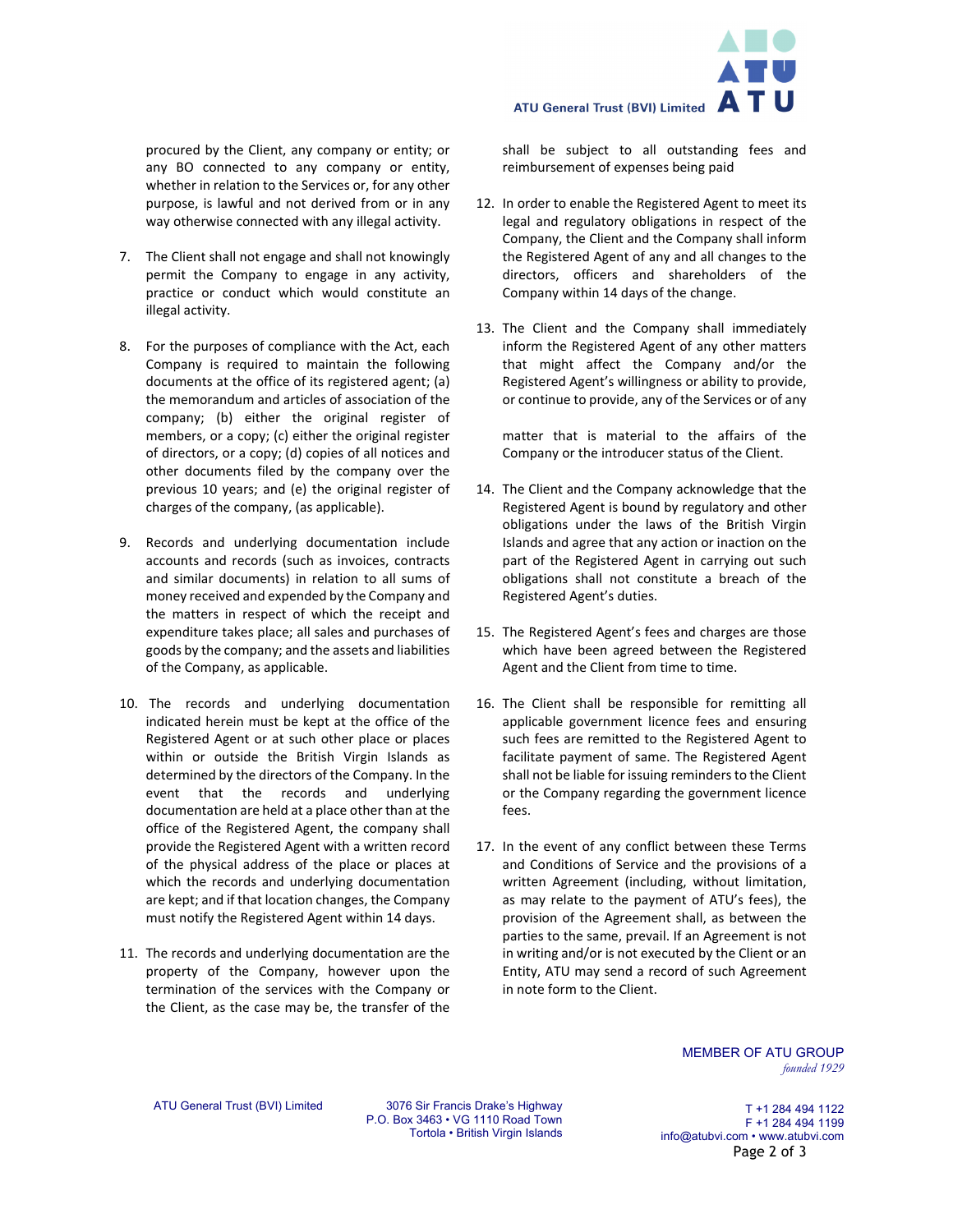

procured by the Client, any company or entity; or any BO connected to any company or entity, whether in relation to the Services or, for any other purpose, is lawful and not derived from or in any way otherwise connected with any illegal activity.

- 7. The Client shall not engage and shall not knowingly permit the Company to engage in any activity, practice or conduct which would constitute an illegal activity.
- 8. For the purposes of compliance with the Act, each Company is required to maintain the following documents at the office of its registered agent; (a) the memorandum and articles of association of the company; (b) either the original register of members, or a copy; (c) either the original register of directors, or a copy; (d) copies of all notices and other documents filed by the company over the previous 10 years; and (e) the original register of charges of the company, (as applicable).
- 9. Records and underlying documentation include accounts and records (such as invoices, contracts and similar documents) in relation to all sums of money received and expended by the Company and the matters in respect of which the receipt and expenditure takes place; all sales and purchases of goods by the company; and the assets and liabilities of the Company, as applicable.
- 10. The records and underlying documentation indicated herein must be kept at the office of the Registered Agent or at such other place or places within or outside the British Virgin Islands as determined by the directors of the Company. In the event that the records and underlying documentation are held at a place other than at the office of the Registered Agent, the company shall provide the Registered Agent with a written record of the physical address of the place or places at which the records and underlying documentation are kept; and if that location changes, the Company must notify the Registered Agent within 14 days.
- 11. The records and underlying documentation are the property of the Company, however upon the termination of the services with the Company or the Client, as the case may be, the transfer of the

shall be subject to all outstanding fees and reimbursement of expenses being paid

- 12. In order to enable the Registered Agent to meet its legal and regulatory obligations in respect of the Company, the Client and the Company shall inform the Registered Agent of any and all changes to the directors, officers and shareholders of the Company within 14 days of the change.
- 13. The Client and the Company shall immediately inform the Registered Agent of any other matters that might affect the Company and/or the Registered Agent's willingness or ability to provide, or continue to provide, any of the Services or of any

matter that is material to the affairs of the Company or the introducer status of the Client.

- 14. The Client and the Company acknowledge that the Registered Agent is bound by regulatory and other obligations under the laws of the British Virgin Islands and agree that any action or inaction on the part of the Registered Agent in carrying out such obligations shall not constitute a breach of the Registered Agent's duties.
- 15. The Registered Agent's fees and charges are those which have been agreed between the Registered Agent and the Client from time to time.
- 16. The Client shall be responsible for remitting all applicable government licence fees and ensuring such fees are remitted to the Registered Agent to facilitate payment of same. The Registered Agent shall not be liable for issuing reminders to the Client or the Company regarding the government licence fees.
- 17. In the event of any conflict between these Terms and Conditions of Service and the provisions of a written Agreement (including, without limitation, as may relate to the payment of ATU's fees), the provision of the Agreement shall, as between the parties to the same, prevail. If an Agreement is not in writing and/or is not executed by the Client or an Entity, ATU may send a record of such Agreement in note form to the Client.

MEMBER OF ATU GROUP *founded 1929* 

ATU General Trust (BVI) Limited 3076 Sir Francis Drake's Highway P.O. Box 3463 • VG 1110 Road Town Tortola • British Virgin Islands

T +1 284 494 1122 F +1 284 494 1199 info@atubvi.com • www.atubvi.com Page 2 of 3